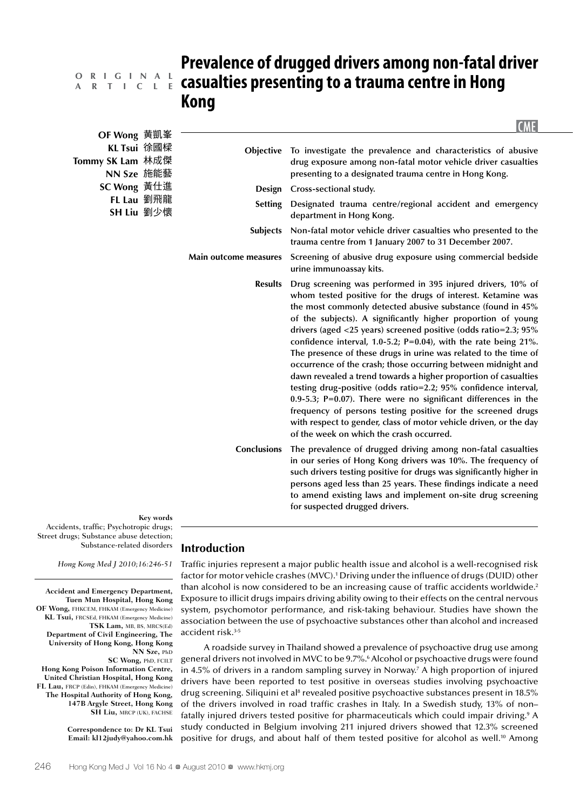# **A R T I C L E**

## **Prevalence of drugged drivers among non-fatal driver**  *O R* **I G I N A L <b>C** Casualties presenting to a trauma centre in Hong **Kong**

**Contract** 

|                       | <b>CME</b>                                                                                                                                                                                                                                                                                                                                                                                                                                                                                                                                                                                                                                                                                                                                                                                                                                                                                                                            |
|-----------------------|---------------------------------------------------------------------------------------------------------------------------------------------------------------------------------------------------------------------------------------------------------------------------------------------------------------------------------------------------------------------------------------------------------------------------------------------------------------------------------------------------------------------------------------------------------------------------------------------------------------------------------------------------------------------------------------------------------------------------------------------------------------------------------------------------------------------------------------------------------------------------------------------------------------------------------------|
|                       | Objective To investigate the prevalence and characteristics of abusive<br>drug exposure among non-fatal motor vehicle driver casualties<br>presenting to a designated trauma centre in Hong Kong.                                                                                                                                                                                                                                                                                                                                                                                                                                                                                                                                                                                                                                                                                                                                     |
|                       | Design Cross-sectional study.                                                                                                                                                                                                                                                                                                                                                                                                                                                                                                                                                                                                                                                                                                                                                                                                                                                                                                         |
| <b>Setting</b>        | Designated trauma centre/regional accident and emergency<br>department in Hong Kong.                                                                                                                                                                                                                                                                                                                                                                                                                                                                                                                                                                                                                                                                                                                                                                                                                                                  |
| <b>Subjects</b>       | Non-fatal motor vehicle driver casualties who presented to the<br>trauma centre from 1 January 2007 to 31 December 2007.                                                                                                                                                                                                                                                                                                                                                                                                                                                                                                                                                                                                                                                                                                                                                                                                              |
| Main outcome measures | Screening of abusive drug exposure using commercial bedside<br>urine immunoassay kits.                                                                                                                                                                                                                                                                                                                                                                                                                                                                                                                                                                                                                                                                                                                                                                                                                                                |
| <b>Results</b>        | Drug screening was performed in 395 injured drivers, 10% of<br>whom tested positive for the drugs of interest. Ketamine was<br>the most commonly detected abusive substance (found in 45%<br>of the subjects). A significantly higher proportion of young<br>drivers (aged <25 years) screened positive (odds ratio=2.3; 95%<br>confidence interval, 1.0-5.2; P=0.04), with the rate being $21\%$ .<br>The presence of these drugs in urine was related to the time of<br>occurrence of the crash; those occurring between midnight and<br>dawn revealed a trend towards a higher proportion of casualties<br>testing drug-positive (odds ratio=2.2; 95% confidence interval,<br>$0.9 - 5.3$ ; P=0.07). There were no significant differences in the<br>frequency of persons testing positive for the screened drugs<br>with respect to gender, class of motor vehicle driven, or the day<br>of the week on which the crash occurred. |
|                       | Conclusions The prevalence of drugged driving among non-fatal casualties<br>in our series of Hong Kong drivers was 10%. The frequency of<br>such drivers testing positive for drugs was significantly higher in<br>persons aged less than 25 years. These findings indicate a need<br>to amend existing laws and implement on-site drug screening<br>for suspected drugged drivers.                                                                                                                                                                                                                                                                                                                                                                                                                                                                                                                                                   |
|                       |                                                                                                                                                                                                                                                                                                                                                                                                                                                                                                                                                                                                                                                                                                                                                                                                                                                                                                                                       |

#### **Key words**

Accidents, traffic; Psychotropic drugs; Street drugs; Substance abuse detection; Substance-related disorders

*Hong Kong Med J 2010;16:246-51*

**Accident and Emergency Department, Tuen Mun Hospital, Hong Kong OF Wong,** FHKCEM, FHKAM (Emergency Medicine) **KL Tsui,** FRCSEd, FHKAM (Emergency Medicine) **TSK Lam,** MB, BS, MRCS(Ed) **Department of Civil Engineering, The University of Hong Kong, Hong Kong NN Sze,** PhD **SC Wong,** PhD, FCILT **Hong Kong Poison Information Centre, United Christian Hospital, Hong Kong FL Lau,** FRCP (Edin), FHKAM (Emergency Medicine) **The Hospital Authority of Hong Kong, 147B Argyle Street, Hong Kong SH Liu, MRCP (UK), FACHSE** 

> **Correspondence to: Dr KL Tsui Email: kl12judy@yahoo.com.hk**

### **Introduction**

Traffic injuries represent a major public health issue and alcohol is a well-recognised risk factor for motor vehicle crashes (MVC).<sup>1</sup> Driving under the influence of drugs (DUID) other than alcohol is now considered to be an increasing cause of traffic accidents worldwide.<sup>2</sup> Exposure to illicit drugs impairs driving ability owing to their effects on the central nervous system, psychomotor performance, and risk-taking behaviour. Studies have shown the association between the use of psychoactive substances other than alcohol and increased accident risk.3-5

A roadside survey in Thailand showed a prevalence of psychoactive drug use among general drivers not involved in MVC to be 9.7%.<sup>6</sup> Alcohol or psychoactive drugs were found in 4.5% of drivers in a random sampling survey in Norway.7 A high proportion of injured drivers have been reported to test positive in overseas studies involving psychoactive drug screening. Siliquini et al<sup>8</sup> revealed positive psychoactive substances present in 18.5% of the drivers involved in road traffic crashes in Italy. In a Swedish study, 13% of non– fatally injured drivers tested positive for pharmaceuticals which could impair driving.<sup>9</sup> A study conducted in Belgium involving 211 injured drivers showed that 12.3% screened positive for drugs, and about half of them tested positive for alcohol as well.10 Among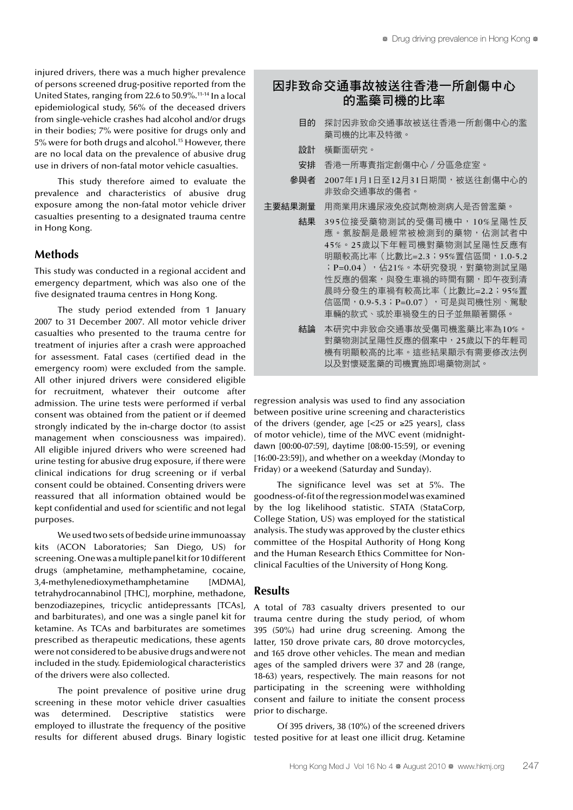injured drivers, there was a much higher prevalence of persons screened drug-positive reported from the United States, ranging from 22.6 to 50.9%.11-14 In a local epidemiological study, 56% of the deceased drivers from single-vehicle crashes had alcohol and/or drugs in their bodies; 7% were positive for drugs only and 5% were for both drugs and alcohol.<sup>15</sup> However, there are no local data on the prevalence of abusive drug use in drivers of non-fatal motor vehicle casualties.

This study therefore aimed to evaluate the prevalence and characteristics of abusive drug exposure among the non-fatal motor vehicle driver casualties presenting to a designated trauma centre in Hong Kong.

#### **Methods**

This study was conducted in a regional accident and emergency department, which was also one of the five designated trauma centres in Hong Kong.

The study period extended from 1 January 2007 to 31 December 2007. All motor vehicle driver casualties who presented to the trauma centre for treatment of injuries after a crash were approached for assessment. Fatal cases (certified dead in the emergency room) were excluded from the sample. All other injured drivers were considered eligible for recruitment, whatever their outcome after admission. The urine tests were performed if verbal consent was obtained from the patient or if deemed strongly indicated by the in-charge doctor (to assist management when consciousness was impaired). All eligible injured drivers who were screened had urine testing for abusive drug exposure, if there were clinical indications for drug screening or if verbal consent could be obtained. Consenting drivers were reassured that all information obtained would be kept confidential and used for scientific and not legal purposes.

We used two sets of bedside urine immunoassay kits (ACON Laboratories; San Diego, US) for screening. One was a multiple panel kit for 10 different drugs (amphetamine, methamphetamine, cocaine, 3,4-methylenedioxymethamphetamine [MDMA], tetrahydrocannabinol [THC], morphine, methadone, benzodiazepines, tricyclic antidepressants [TCAs], and barbiturates), and one was a single panel kit for ketamine. As TCAs and barbiturates are sometimes prescribed as therapeutic medications, these agents were not considered to be abusive drugs and were not included in the study. Epidemiological characteristics of the drivers were also collected.

The point prevalence of positive urine drug screening in these motor vehicle driver casualties was determined. Descriptive statistics were employed to illustrate the frequency of the positive results for different abused drugs. Binary logistic

## 因非致命交通事故被送往香港一所創傷中心 的濫藥司機的比率

- 目的 探討因非致命交通事故被送往香港一所創傷中心的濫 藥司機的比率及特徵。
- 設計 橫斷面研究。
- 安排 香港一所專責指定創傷中心/分區急症室。
- 參與者 2007年1月1日至12月31日期間,被送往創傷中心的 非致命交通事故的傷者。
- 主要結果測量 用商業用床邊尿液免疫試劑檢測病人是否曾濫藥。
	- 結果 395位接受藥物測試的受傷司機中,10%呈陽性反 應。氯胺酮是最經常被檢測到的藥物,佔測試者中 45%。25歲以下年輕司機對藥物測試呈陽性反應有 明顯較高比率 (比數比=2.3;95%置信區間,1.0-5.2 ;  $P=0.04$ ), 估21%。本研究發現, 對藥物測試呈陽 性反應的個案,與發生車禍的時間有關,即午夜到清 晨時分發生的車禍有較高比率(比數比=2.2;95%置 信區間,0.9-5.3; P=0.07),可是與司機性別、駕駛 車輛的款式、或於車禍發生的日子並無顯著關係。
		- 結論 本研究中非致命交通事故受傷司機濫藥比率為10%。 對藥物測試呈陽性反應的個案中, 25歲以下的年輕司 機有明顯較高的比率。這些結果顯示有需要修改法例 以及對懷疑濫藥的司機實施即場藥物測試。

regression analysis was used to find any association between positive urine screening and characteristics of the drivers (gender, age [<25 or ≥25 years], class of motor vehicle), time of the MVC event (midnightdawn [00:00-07:59], daytime [08:00-15:59], or evening [16:00-23:59]), and whether on a weekday (Monday to Friday) or a weekend (Saturday and Sunday).

The significance level was set at 5%. The goodness-of-fit of the regression model was examined by the log likelihood statistic. STATA (StataCorp, College Station, US) was employed for the statistical analysis. The study was approved by the cluster ethics committee of the Hospital Authority of Hong Kong and the Human Research Ethics Committee for Nonclinical Faculties of the University of Hong Kong.

#### **Results**

A total of 783 casualty drivers presented to our trauma centre during the study period, of whom 395 (50%) had urine drug screening. Among the latter, 150 drove private cars, 80 drove motorcycles, and 165 drove other vehicles. The mean and median ages of the sampled drivers were 37 and 28 (range, 18-63) years, respectively. The main reasons for not participating in the screening were withholding consent and failure to initiate the consent process prior to discharge.

Of 395 drivers, 38 (10%) of the screened drivers tested positive for at least one illicit drug. Ketamine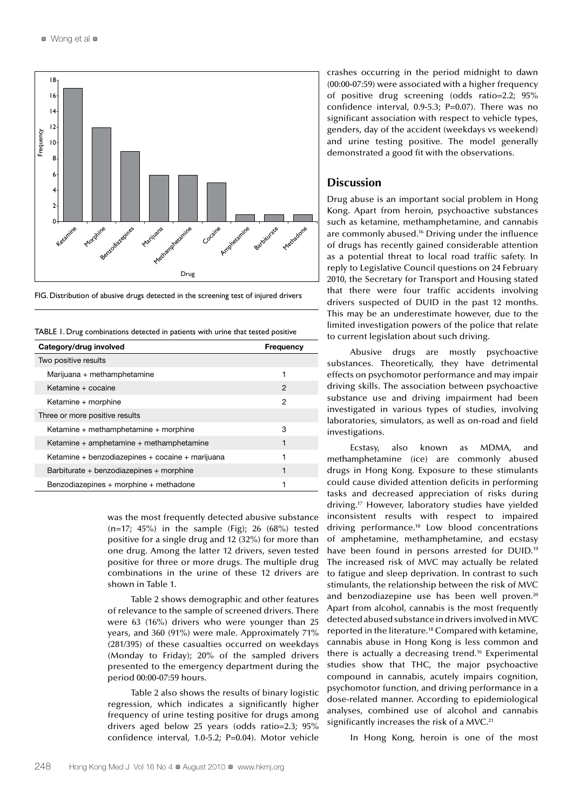

FIG. Distribution of abusive drugs detected in the screening test of injured drivers

TABLE 1. Drug combinations detected in patients with urine that tested positive

| Category/drug involved                           | Frequency |
|--------------------------------------------------|-----------|
| Two positive results                             |           |
| Marijuana + methamphetamine                      |           |
| Ketamine + cocaine                               | 2         |
| Ketamine + morphine                              | 2         |
| Three or more positive results                   |           |
| Ketamine + methamphetamine + morphine            | 3         |
| Ketamine + amphetamine + methamphetamine         |           |
| Ketamine + benzodiazepines + cocaine + marijuana |           |
| Barbiturate + benzodiazepines + morphine         |           |
| Benzodiazepines + morphine + methadone           |           |

was the most frequently detected abusive substance  $(n=17; 45%)$  in the sample (Fig); 26 (68%) tested positive for a single drug and 12 (32%) for more than one drug. Among the latter 12 drivers, seven tested positive for three or more drugs. The multiple drug combinations in the urine of these 12 drivers are shown in Table 1.

Table 2 shows demographic and other features of relevance to the sample of screened drivers. There were 63 (16%) drivers who were younger than 25 years, and 360 (91%) were male. Approximately 71% (281/395) of these casualties occurred on weekdays (Monday to Friday); 20% of the sampled drivers presented to the emergency department during the period 00:00-07:59 hours.

Table 2 also shows the results of binary logistic regression, which indicates a significantly higher frequency of urine testing positive for drugs among drivers aged below 25 years (odds ratio=2.3; 95% confidence interval, 1.0-5.2; P=0.04). Motor vehicle

crashes occurring in the period midnight to dawn (00:00-07:59) were associated with a higher frequency of positive drug screening (odds ratio=2.2; 95% confidence interval, 0.9-5.3; P=0.07). There was no significant association with respect to vehicle types, genders, day of the accident (weekdays vs weekend) and urine testing positive. The model generally demonstrated a good fit with the observations.

#### **Discussion**

Drug abuse is an important social problem in Hong Kong. Apart from heroin, psychoactive substances such as ketamine, methamphetamine, and cannabis are commonly abused.<sup>16</sup> Driving under the influence of drugs has recently gained considerable attention as a potential threat to local road traffic safety. In reply to Legislative Council questions on 24 February 2010, the Secretary for Transport and Housing stated that there were four traffic accidents involving drivers suspected of DUID in the past 12 months. This may be an underestimate however, due to the limited investigation powers of the police that relate to current legislation about such driving.

Abusive drugs are mostly psychoactive substances. Theoretically, they have detrimental effects on psychomotor performance and may impair driving skills. The association between psychoactive substance use and driving impairment had been investigated in various types of studies, involving laboratories, simulators, as well as on-road and field investigations.

Ecstasy, also known as MDMA, and methamphetamine (ice) are commonly abused drugs in Hong Kong. Exposure to these stimulants could cause divided attention deficits in performing tasks and decreased appreciation of risks during driving.17 However, laboratory studies have yielded inconsistent results with respect to impaired driving performance.18 Low blood concentrations of amphetamine, methamphetamine, and ecstasy have been found in persons arrested for DUID.<sup>19</sup> The increased risk of MVC may actually be related to fatigue and sleep deprivation. In contrast to such stimulants, the relationship between the risk of MVC and benzodiazepine use has been well proven.<sup>20</sup> Apart from alcohol, cannabis is the most frequently detected abused substance in drivers involved in MVC reported in the literature.18 Compared with ketamine, cannabis abuse in Hong Kong is less common and there is actually a decreasing trend.16 Experimental studies show that THC, the major psychoactive compound in cannabis, acutely impairs cognition, psychomotor function, and driving performance in a dose-related manner. According to epidemiological analyses, combined use of alcohol and cannabis significantly increases the risk of a MVC.<sup>21</sup>

In Hong Kong, heroin is one of the most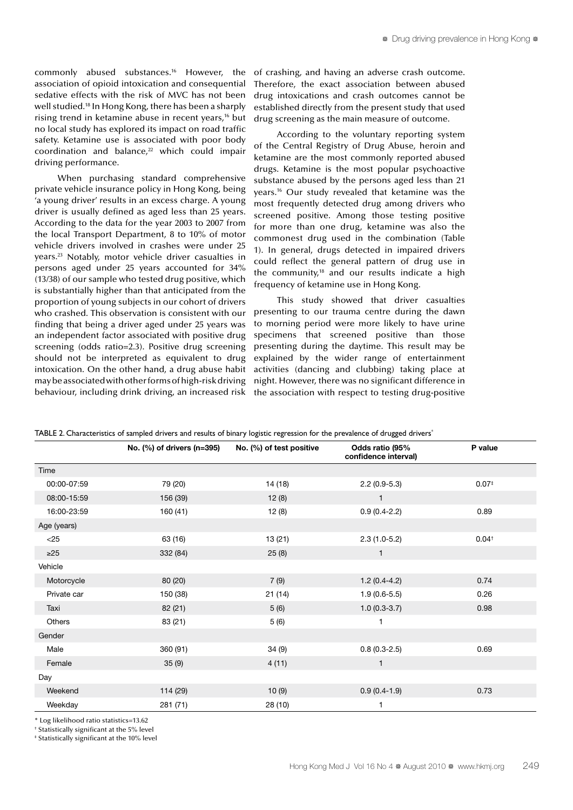commonly abused substances.16 However, the association of opioid intoxication and consequential sedative effects with the risk of MVC has not been well studied.18 In Hong Kong, there has been a sharply rising trend in ketamine abuse in recent years,<sup>16</sup> but no local study has explored its impact on road traffic safety. Ketamine use is associated with poor body coordination and balance, $22$  which could impair driving performance.

When purchasing standard comprehensive private vehicle insurance policy in Hong Kong, being 'a young driver' results in an excess charge. A young driver is usually defined as aged less than 25 years. According to the data for the year 2003 to 2007 from the local Transport Department, 8 to 10% of motor vehicle drivers involved in crashes were under 25 years.23 Notably, motor vehicle driver casualties in persons aged under 25 years accounted for 34% (13/38) of our sample who tested drug positive, which is substantially higher than that anticipated from the proportion of young subjects in our cohort of drivers who crashed. This observation is consistent with our finding that being a driver aged under 25 years was an independent factor associated with positive drug screening (odds ratio=2.3). Positive drug screening should not be interpreted as equivalent to drug intoxication. On the other hand, a drug abuse habit may be associated with other forms of high-risk driving behaviour, including drink driving, an increased risk

of crashing, and having an adverse crash outcome. Therefore, the exact association between abused drug intoxications and crash outcomes cannot be established directly from the present study that used drug screening as the main measure of outcome.

According to the voluntary reporting system of the Central Registry of Drug Abuse, heroin and ketamine are the most commonly reported abused drugs. Ketamine is the most popular psychoactive substance abused by the persons aged less than 21 years.16 Our study revealed that ketamine was the most frequently detected drug among drivers who screened positive. Among those testing positive for more than one drug, ketamine was also the commonest drug used in the combination (Table 1). In general, drugs detected in impaired drivers could reflect the general pattern of drug use in the community,18 and our results indicate a high frequency of ketamine use in Hong Kong.

This study showed that driver casualties presenting to our trauma centre during the dawn to morning period were more likely to have urine specimens that screened positive than those presenting during the daytime. This result may be explained by the wider range of entertainment activities (dancing and clubbing) taking place at night. However, there was no significant difference in the association with respect to testing drug-positive

| TABLE 2. Characteristics of sampled drivers and results of binary logistic regression for the prevalence of drugged drivers <sup>*</sup> |  |  |  |  |  |
|------------------------------------------------------------------------------------------------------------------------------------------|--|--|--|--|--|
|------------------------------------------------------------------------------------------------------------------------------------------|--|--|--|--|--|

|             | No. $(\%)$ of drivers (n=395) | No. (%) of test positive | Odds ratio (95%<br>confidence interval) | P value           |
|-------------|-------------------------------|--------------------------|-----------------------------------------|-------------------|
| Time        |                               |                          |                                         |                   |
| 00:00-07:59 | 79 (20)                       | 14 (18)                  | $2.2(0.9-5.3)$                          | $0.07^{\ddagger}$ |
| 08:00-15:59 | 156 (39)                      | 12(8)                    | $\mathbf{1}$                            |                   |
| 16:00-23:59 | 160(41)                       | 12(8)                    | $0.9(0.4-2.2)$                          | 0.89              |
| Age (years) |                               |                          |                                         |                   |
| $<$ 25      | 63 (16)                       | 13(21)                   | $2.3(1.0-5.2)$                          | $0.04^+$          |
| $\geq$ 25   | 332 (84)                      | 25(8)                    | $\mathbf{1}$                            |                   |
| Vehicle     |                               |                          |                                         |                   |
| Motorcycle  | 80 (20)                       | 7(9)                     | $1.2(0.4-4.2)$                          | 0.74              |
| Private car | 150 (38)                      | 21(14)                   | $1.9(0.6-5.5)$                          | 0.26              |
| Taxi        | 82 (21)                       | 5(6)                     | $1.0(0.3-3.7)$                          | 0.98              |
| Others      | 83 (21)                       | 5(6)                     | 1                                       |                   |
| Gender      |                               |                          |                                         |                   |
| Male        | 360 (91)                      | 34(9)                    | $0.8(0.3-2.5)$                          | 0.69              |
| Female      | 35(9)                         | 4(11)                    | $\mathbf{1}$                            |                   |
| Day         |                               |                          |                                         |                   |
| Weekend     | 114 (29)                      | 10(9)                    | $0.9(0.4-1.9)$                          | 0.73              |
| Weekday     | 281 (71)                      | 28 (10)                  | 1                                       |                   |

\* Log likelihood ratio statistics=13.62

† Statistically significant at the 5% level

‡ Statistically significant at the 10% level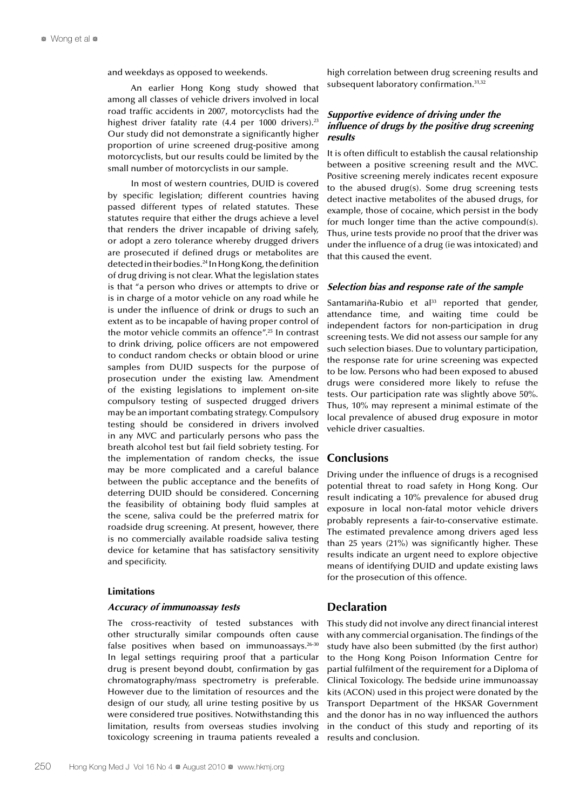and weekdays as opposed to weekends.

An earlier Hong Kong study showed that among all classes of vehicle drivers involved in local road traffic accidents in 2007, motorcyclists had the highest driver fatality rate  $(4.4 \text{ per } 1000 \text{ drivers}).^{23}$ Our study did not demonstrate a significantly higher proportion of urine screened drug-positive among motorcyclists, but our results could be limited by the small number of motorcyclists in our sample.

In most of western countries, DUID is covered by specific legislation; different countries having passed different types of related statutes. These statutes require that either the drugs achieve a level that renders the driver incapable of driving safely, or adopt a zero tolerance whereby drugged drivers are prosecuted if defined drugs or metabolites are detected in their bodies.24 In Hong Kong, the definition of drug driving is not clear. What the legislation states is that "a person who drives or attempts to drive or is in charge of a motor vehicle on any road while he is under the influence of drink or drugs to such an extent as to be incapable of having proper control of the motor vehicle commits an offence".25 In contrast to drink driving, police officers are not empowered to conduct random checks or obtain blood or urine samples from DUID suspects for the purpose of prosecution under the existing law. Amendment of the existing legislations to implement on-site compulsory testing of suspected drugged drivers may be an important combating strategy. Compulsory testing should be considered in drivers involved in any MVC and particularly persons who pass the breath alcohol test but fail field sobriety testing. For the implementation of random checks, the issue may be more complicated and a careful balance between the public acceptance and the benefits of deterring DUID should be considered. Concerning the feasibility of obtaining body fluid samples at the scene, saliva could be the preferred matrix for roadside drug screening. At present, however, there is no commercially available roadside saliva testing device for ketamine that has satisfactory sensitivity and specificity.

#### **Limitations**

#### **Accuracy of immunoassay tests**

The cross-reactivity of tested substances with other structurally similar compounds often cause false positives when based on immunoassays.<sup>26-30</sup> In legal settings requiring proof that a particular drug is present beyond doubt, confirmation by gas chromatography/mass spectrometry is preferable. However due to the limitation of resources and the design of our study, all urine testing positive by us were considered true positives. Notwithstanding this limitation, results from overseas studies involving toxicology screening in trauma patients revealed a

high correlation between drug screening results and subsequent laboratory confirmation.31,32

#### **Supportive evidence of driving under the influence of drugs by the positive drug screening results**

It is often difficult to establish the causal relationship between a positive screening result and the MVC. Positive screening merely indicates recent exposure to the abused drug(s). Some drug screening tests detect inactive metabolites of the abused drugs, for example, those of cocaine, which persist in the body for much longer time than the active compound(s). Thus, urine tests provide no proof that the driver was under the influence of a drug (ie was intoxicated) and that this caused the event.

#### **Selection bias and response rate of the sample**

Santamariña-Rubio et al $33$  reported that gender, attendance time, and waiting time could be independent factors for non-participation in drug screening tests. We did not assess our sample for any such selection biases. Due to voluntary participation, the response rate for urine screening was expected to be low. Persons who had been exposed to abused drugs were considered more likely to refuse the tests. Our participation rate was slightly above 50%. Thus, 10% may represent a minimal estimate of the local prevalence of abused drug exposure in motor vehicle driver casualties.

#### **Conclusions**

Driving under the influence of drugs is a recognised potential threat to road safety in Hong Kong. Our result indicating a 10% prevalence for abused drug exposure in local non-fatal motor vehicle drivers probably represents a fair-to-conservative estimate. The estimated prevalence among drivers aged less than 25 years (21%) was significantly higher. These results indicate an urgent need to explore objective means of identifying DUID and update existing laws for the prosecution of this offence.

#### **Declaration**

This study did not involve any direct financial interest with any commercial organisation. The findings of the study have also been submitted (by the first author) to the Hong Kong Poison Information Centre for partial fulfilment of the requirement for a Diploma of Clinical Toxicology. The bedside urine immunoassay kits (ACON) used in this project were donated by the Transport Department of the HKSAR Government and the donor has in no way influenced the authors in the conduct of this study and reporting of its results and conclusion.